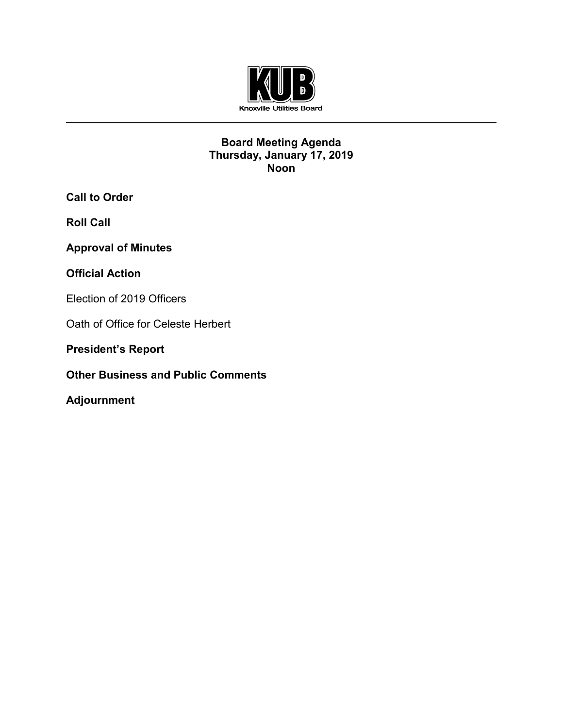

## **Board Meeting Agenda Thursday, January 17, 2019 Noon**

**Call to Order**

**Roll Call**

**Approval of Minutes** 

# **Official Action**

Election of 2019 Officers

Oath of Office for Celeste Herbert

**President's Report** 

**Other Business and Public Comments**

**Adjournment**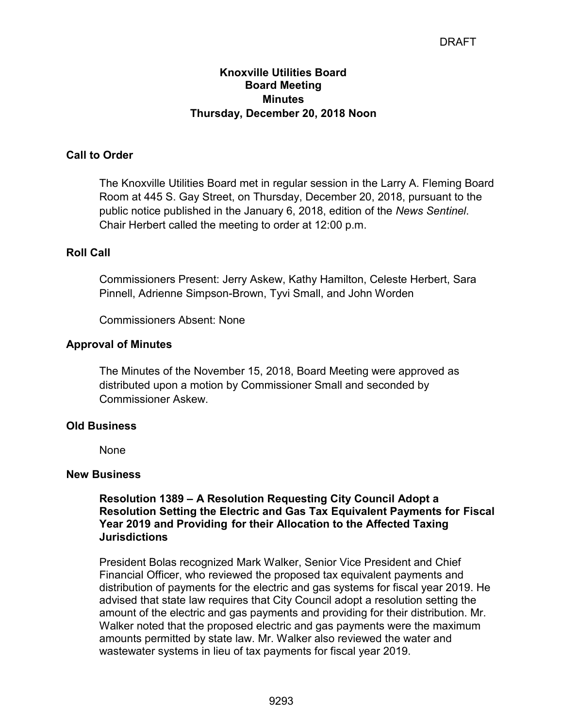# DRAFT

## **Knoxville Utilities Board Board Meeting Minutes Thursday, December 20, 2018 Noon**

## **Call to Order**

The Knoxville Utilities Board met in regular session in the Larry A. Fleming Board Room at 445 S. Gay Street, on Thursday, December 20, 2018, pursuant to the public notice published in the January 6, 2018, edition of the *News Sentinel*. Chair Herbert called the meeting to order at 12:00 p.m.

#### **Roll Call**

Commissioners Present: Jerry Askew, Kathy Hamilton, Celeste Herbert, Sara Pinnell, Adrienne Simpson-Brown, Tyvi Small, and John Worden

Commissioners Absent: None

#### **Approval of Minutes**

The Minutes of the November 15, 2018, Board Meeting were approved as distributed upon a motion by Commissioner Small and seconded by Commissioner Askew.

#### **Old Business**

None

#### **New Business**

**Resolution 1389 – A Resolution Requesting City Council Adopt a Resolution Setting the Electric and Gas Tax Equivalent Payments for Fiscal Year 2019 and Providing for their Allocation to the Affected Taxing Jurisdictions**

President Bolas recognized Mark Walker, Senior Vice President and Chief Financial Officer, who reviewed the proposed tax equivalent payments and distribution of payments for the electric and gas systems for fiscal year 2019. He advised that state law requires that City Council adopt a resolution setting the amount of the electric and gas payments and providing for their distribution. Mr. Walker noted that the proposed electric and gas payments were the maximum amounts permitted by state law. Mr. Walker also reviewed the water and wastewater systems in lieu of tax payments for fiscal year 2019.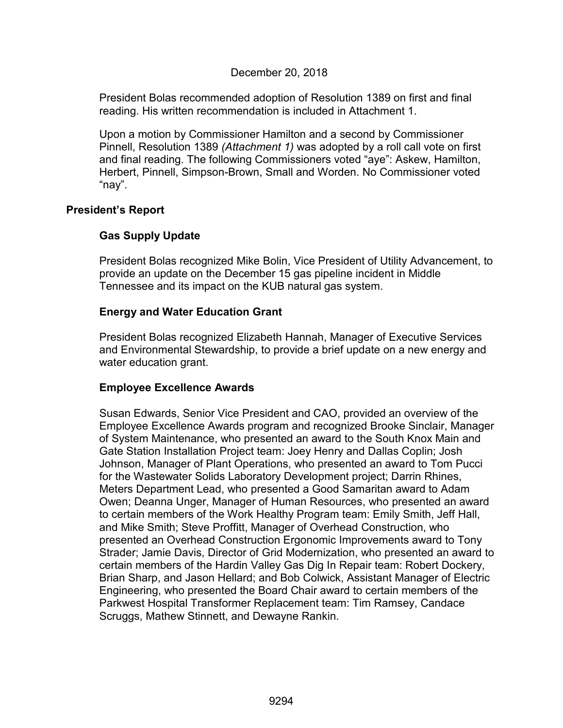## December 20, 2018

President Bolas recommended adoption of Resolution 1389 on first and final reading. His written recommendation is included in Attachment 1.

Upon a motion by Commissioner Hamilton and a second by Commissioner Pinnell, Resolution 1389 *(Attachment 1)* was adopted by a roll call vote on first and final reading. The following Commissioners voted "aye": Askew, Hamilton, Herbert, Pinnell, Simpson-Brown, Small and Worden. No Commissioner voted "nay".

## **President's Report**

## **Gas Supply Update**

President Bolas recognized Mike Bolin, Vice President of Utility Advancement, to provide an update on the December 15 gas pipeline incident in Middle Tennessee and its impact on the KUB natural gas system.

## **Energy and Water Education Grant**

President Bolas recognized Elizabeth Hannah, Manager of Executive Services and Environmental Stewardship, to provide a brief update on a new energy and water education grant.

## **Employee Excellence Awards**

Susan Edwards, Senior Vice President and CAO, provided an overview of the Employee Excellence Awards program and recognized Brooke Sinclair, Manager of System Maintenance, who presented an award to the South Knox Main and Gate Station Installation Project team: Joey Henry and Dallas Coplin; Josh Johnson, Manager of Plant Operations, who presented an award to Tom Pucci for the Wastewater Solids Laboratory Development project; Darrin Rhines, Meters Department Lead, who presented a Good Samaritan award to Adam Owen; Deanna Unger, Manager of Human Resources, who presented an award to certain members of the Work Healthy Program team: Emily Smith, Jeff Hall, and Mike Smith; Steve Proffitt, Manager of Overhead Construction, who presented an Overhead Construction Ergonomic Improvements award to Tony Strader; Jamie Davis, Director of Grid Modernization, who presented an award to certain members of the Hardin Valley Gas Dig In Repair team: Robert Dockery, Brian Sharp, and Jason Hellard; and Bob Colwick, Assistant Manager of Electric Engineering, who presented the Board Chair award to certain members of the Parkwest Hospital Transformer Replacement team: Tim Ramsey, Candace Scruggs, Mathew Stinnett, and Dewayne Rankin.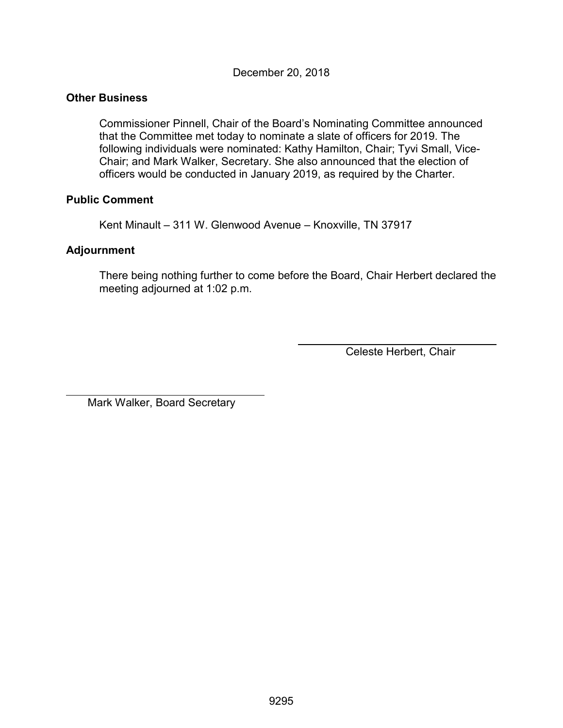December 20, 2018

## **Other Business**

Commissioner Pinnell, Chair of the Board's Nominating Committee announced that the Committee met today to nominate a slate of officers for 2019. The following individuals were nominated: Kathy Hamilton, Chair; Tyvi Small, Vice-Chair; and Mark Walker, Secretary. She also announced that the election of officers would be conducted in January 2019, as required by the Charter.

### **Public Comment**

Kent Minault – 311 W. Glenwood Avenue – Knoxville, TN 37917

### **Adjournment**

 $\overline{a}$ 

There being nothing further to come before the Board, Chair Herbert declared the meeting adjourned at 1:02 p.m.

Celeste Herbert, Chair

Mark Walker, Board Secretary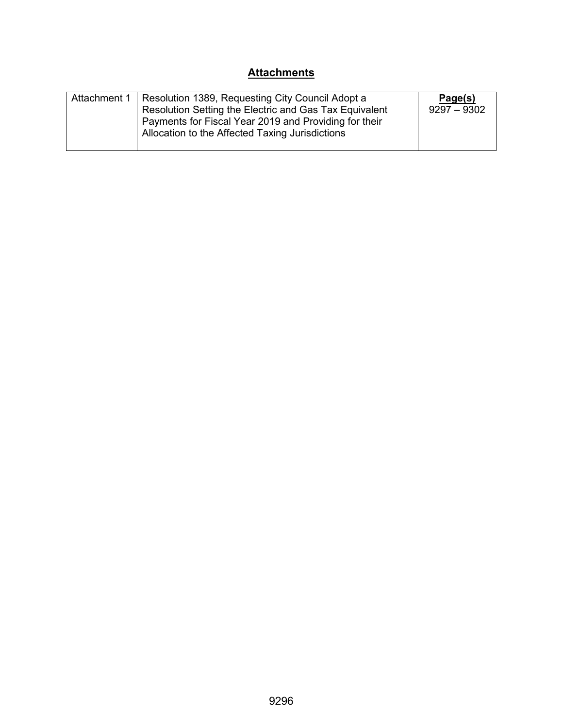# **Attachments**

| Attachment 1 | Resolution 1389, Requesting City Council Adopt a<br>Resolution Setting the Electric and Gas Tax Equivalent<br>Payments for Fiscal Year 2019 and Providing for their<br>Allocation to the Affected Taxing Jurisdictions | Page(s)<br>$9297 - 9302$ |
|--------------|------------------------------------------------------------------------------------------------------------------------------------------------------------------------------------------------------------------------|--------------------------|
|--------------|------------------------------------------------------------------------------------------------------------------------------------------------------------------------------------------------------------------------|--------------------------|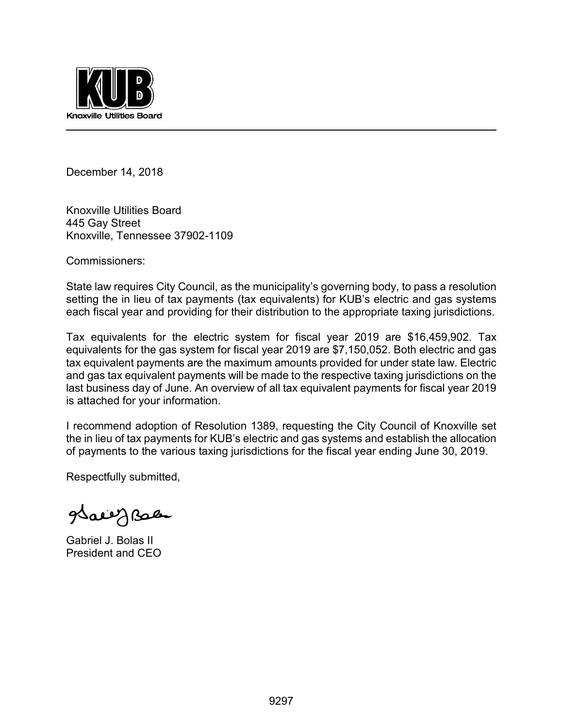

December 14, 2018

Knoxville Utilities Board 445 Gay Street Knoxville, Tennessee 37902-1109

Commissioners:

State law requires City Council, as the municipality's governing body, to pass a resolution setting the in lieu of tax payments (tax equivalents) for KUB's electric and gas systems each fiscal year and providing for their distribution to the appropriate taxing jurisdictions.

Tax equivalents for the electric system for fiscal year 2019 are \$16,459,902. Tax equivalents for the gas system for fiscal year 2019 are \$7,150,052. Both electric and gas tax equivalent payments are the maximum amounts provided for under state law. Electric and gas tax equivalent payments will be made to the respective taxing jurisdictions on the last business day of June. An overview of all tax equivalent payments for fiscal year 2019 is attached for your information.

I recommend adoption of Resolution 1389, requesting the City Council of Knoxville set the in lieu of tax payments for KUB's electric and gas systems and establish the allocation of payments to the various taxing jurisdictions for the fiscal year ending June 30, 2019.

Respectfully submitted,

grace J Bales

Gabriel J. Bolas II President and CEO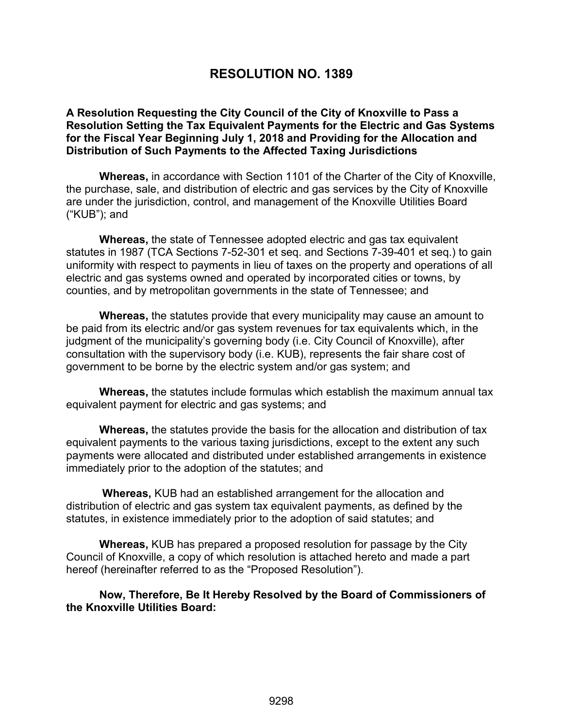# **RESOLUTION NO. 1389**

#### **A Resolution Requesting the City Council of the City of Knoxville to Pass a Resolution Setting the Tax Equivalent Payments for the Electric and Gas Systems for the Fiscal Year Beginning July 1, 2018 and Providing for the Allocation and Distribution of Such Payments to the Affected Taxing Jurisdictions**

**Whereas,** in accordance with Section 1101 of the Charter of the City of Knoxville, the purchase, sale, and distribution of electric and gas services by the City of Knoxville are under the jurisdiction, control, and management of the Knoxville Utilities Board ("KUB"); and

**Whereas,** the state of Tennessee adopted electric and gas tax equivalent statutes in 1987 (TCA Sections 7-52-301 et seq. and Sections 7-39-401 et seq.) to gain uniformity with respect to payments in lieu of taxes on the property and operations of all electric and gas systems owned and operated by incorporated cities or towns, by counties, and by metropolitan governments in the state of Tennessee; and

**Whereas,** the statutes provide that every municipality may cause an amount to be paid from its electric and/or gas system revenues for tax equivalents which, in the judgment of the municipality's governing body (i.e. City Council of Knoxville), after consultation with the supervisory body (i.e. KUB), represents the fair share cost of government to be borne by the electric system and/or gas system; and

**Whereas,** the statutes include formulas which establish the maximum annual tax equivalent payment for electric and gas systems; and

**Whereas,** the statutes provide the basis for the allocation and distribution of tax equivalent payments to the various taxing jurisdictions, except to the extent any such payments were allocated and distributed under established arrangements in existence immediately prior to the adoption of the statutes; and

 **Whereas,** KUB had an established arrangement for the allocation and distribution of electric and gas system tax equivalent payments, as defined by the statutes, in existence immediately prior to the adoption of said statutes; and

**Whereas,** KUB has prepared a proposed resolution for passage by the City Council of Knoxville, a copy of which resolution is attached hereto and made a part hereof (hereinafter referred to as the "Proposed Resolution").

**Now, Therefore, Be It Hereby Resolved by the Board of Commissioners of the Knoxville Utilities Board:**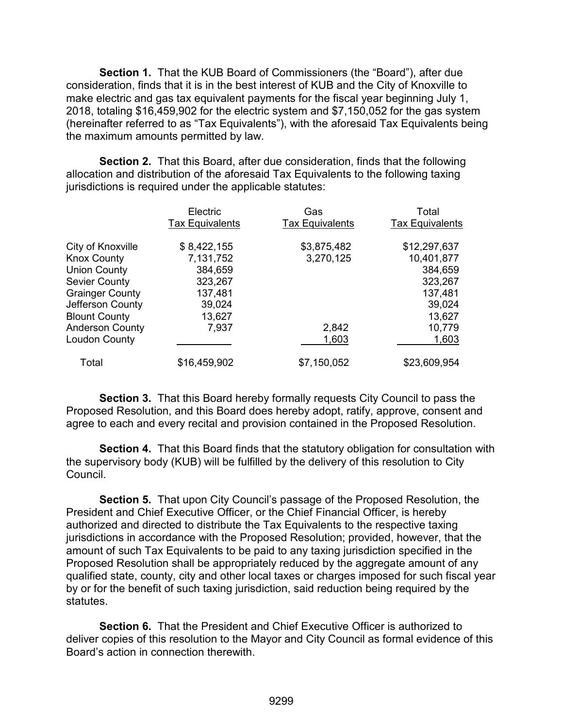**Section 1.** That the KUB Board of Commissioners (the "Board"), after due consideration, finds that it is in the best interest of KUB and the City of Knoxville to make electric and gas tax equivalent payments for the fiscal year beginning July 1, 2018, totaling \$16,459,902 for the electric system and \$7,150,052 for the gas system (hereinafter referred to as "Tax Equivalents"), with the aforesaid Tax Equivalents being the maximum amounts permitted by law.

**Section 2.** That this Board, after due consideration, finds that the following allocation and distribution of the aforesaid Tax Equivalents to the following taxing jurisdictions is required under the applicable statutes:

|                        | Electric<br><b>Tax Equivalents</b> | Gas<br><b>Tax Equivalents</b> | Total<br><b>Tax Equivalents</b> |
|------------------------|------------------------------------|-------------------------------|---------------------------------|
| City of Knoxville      | \$8,422,155                        | \$3,875,482                   | \$12,297,637                    |
| <b>Knox County</b>     | 7,131,752                          | 3,270,125                     | 10,401,877                      |
| <b>Union County</b>    | 384,659                            |                               | 384,659                         |
| <b>Sevier County</b>   | 323,267                            |                               | 323,267                         |
| <b>Grainger County</b> | 137,481                            |                               | 137,481                         |
| Jefferson County       | 39,024                             |                               | 39,024                          |
| <b>Blount County</b>   | 13,627                             |                               | 13,627                          |
| <b>Anderson County</b> | 7,937                              | 2,842                         | 10,779                          |
| <b>Loudon County</b>   |                                    | 1,603                         | 1,603                           |
| Total                  | \$16,459,902                       | \$7,150,052                   | \$23,609,954                    |

**Section 3.** That this Board hereby formally requests City Council to pass the Proposed Resolution, and this Board does hereby adopt, ratify, approve, consent and agree to each and every recital and provision contained in the Proposed Resolution.

**Section 4.** That this Board finds that the statutory obligation for consultation with the supervisory body (KUB) will be fulfilled by the delivery of this resolution to City Council.

**Section 5.** That upon City Council's passage of the Proposed Resolution, the President and Chief Executive Officer, or the Chief Financial Officer, is hereby authorized and directed to distribute the Tax Equivalents to the respective taxing jurisdictions in accordance with the Proposed Resolution; provided, however, that the amount of such Tax Equivalents to be paid to any taxing jurisdiction specified in the Proposed Resolution shall be appropriately reduced by the aggregate amount of any qualified state, county, city and other local taxes or charges imposed for such fiscal year by or for the benefit of such taxing jurisdiction, said reduction being required by the statutes.

**Section 6.** That the President and Chief Executive Officer is authorized to deliver copies of this resolution to the Mayor and City Council as formal evidence of this Board's action in connection therewith.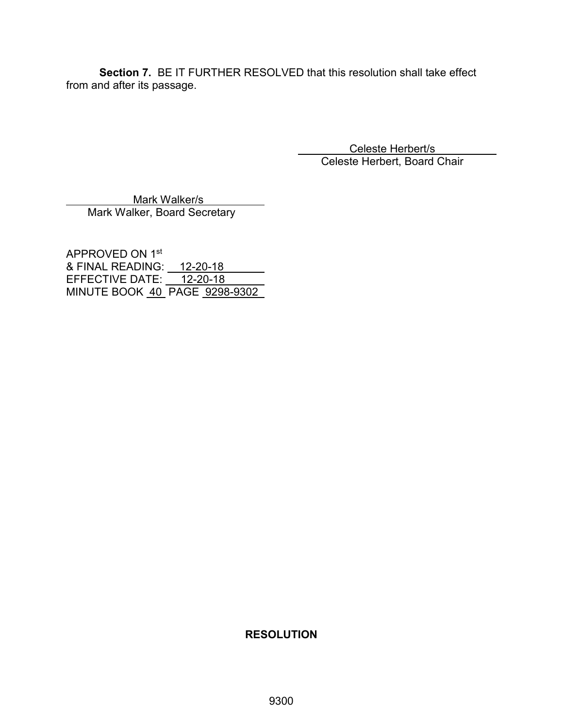**Section 7.** BE IT FURTHER RESOLVED that this resolution shall take effect from and after its passage.

> Celeste Herbert/s Celeste Herbert, Board Chair

 Mark Walker/s Mark Walker, Board Secretary

APPROVED ON 1st & FINAL READING: \_\_ <u>12-20-18</u> EFFECTIVE DATE: <u>\_\_\_12-20-18\_</u> MINUTE BOOK 40 PAGE 9298-9302

## **RESOLUTION**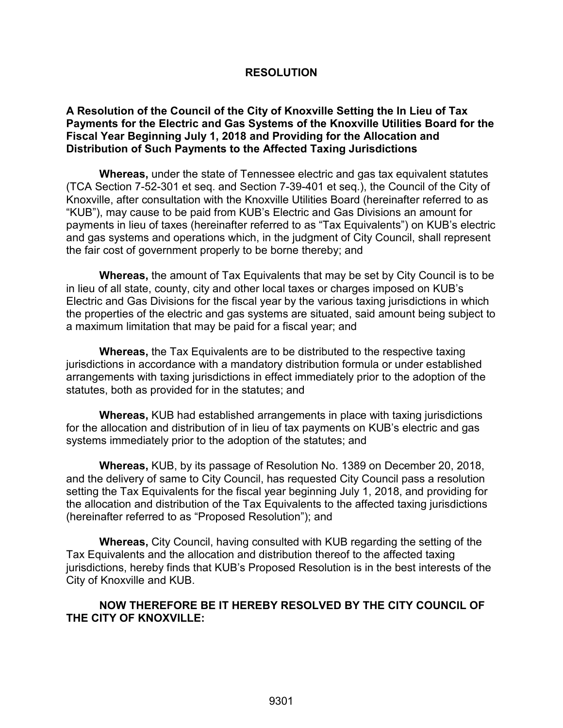## **RESOLUTION**

### **A Resolution of the Council of the City of Knoxville Setting the In Lieu of Tax Payments for the Electric and Gas Systems of the Knoxville Utilities Board for the Fiscal Year Beginning July 1, 2018 and Providing for the Allocation and Distribution of Such Payments to the Affected Taxing Jurisdictions**

**Whereas,** under the state of Tennessee electric and gas tax equivalent statutes (TCA Section 7-52-301 et seq. and Section 7-39-401 et seq.), the Council of the City of Knoxville, after consultation with the Knoxville Utilities Board (hereinafter referred to as "KUB"), may cause to be paid from KUB's Electric and Gas Divisions an amount for payments in lieu of taxes (hereinafter referred to as "Tax Equivalents") on KUB's electric and gas systems and operations which, in the judgment of City Council, shall represent the fair cost of government properly to be borne thereby; and

**Whereas,** the amount of Tax Equivalents that may be set by City Council is to be in lieu of all state, county, city and other local taxes or charges imposed on KUB's Electric and Gas Divisions for the fiscal year by the various taxing jurisdictions in which the properties of the electric and gas systems are situated, said amount being subject to a maximum limitation that may be paid for a fiscal year; and

**Whereas,** the Tax Equivalents are to be distributed to the respective taxing jurisdictions in accordance with a mandatory distribution formula or under established arrangements with taxing jurisdictions in effect immediately prior to the adoption of the statutes, both as provided for in the statutes; and

**Whereas,** KUB had established arrangements in place with taxing jurisdictions for the allocation and distribution of in lieu of tax payments on KUB's electric and gas systems immediately prior to the adoption of the statutes; and

**Whereas,** KUB, by its passage of Resolution No. 1389 on December 20, 2018, and the delivery of same to City Council, has requested City Council pass a resolution setting the Tax Equivalents for the fiscal year beginning July 1, 2018, and providing for the allocation and distribution of the Tax Equivalents to the affected taxing jurisdictions (hereinafter referred to as "Proposed Resolution"); and

**Whereas,** City Council, having consulted with KUB regarding the setting of the Tax Equivalents and the allocation and distribution thereof to the affected taxing jurisdictions, hereby finds that KUB's Proposed Resolution is in the best interests of the City of Knoxville and KUB.

### **NOW THEREFORE BE IT HEREBY RESOLVED BY THE CITY COUNCIL OF THE CITY OF KNOXVILLE:**